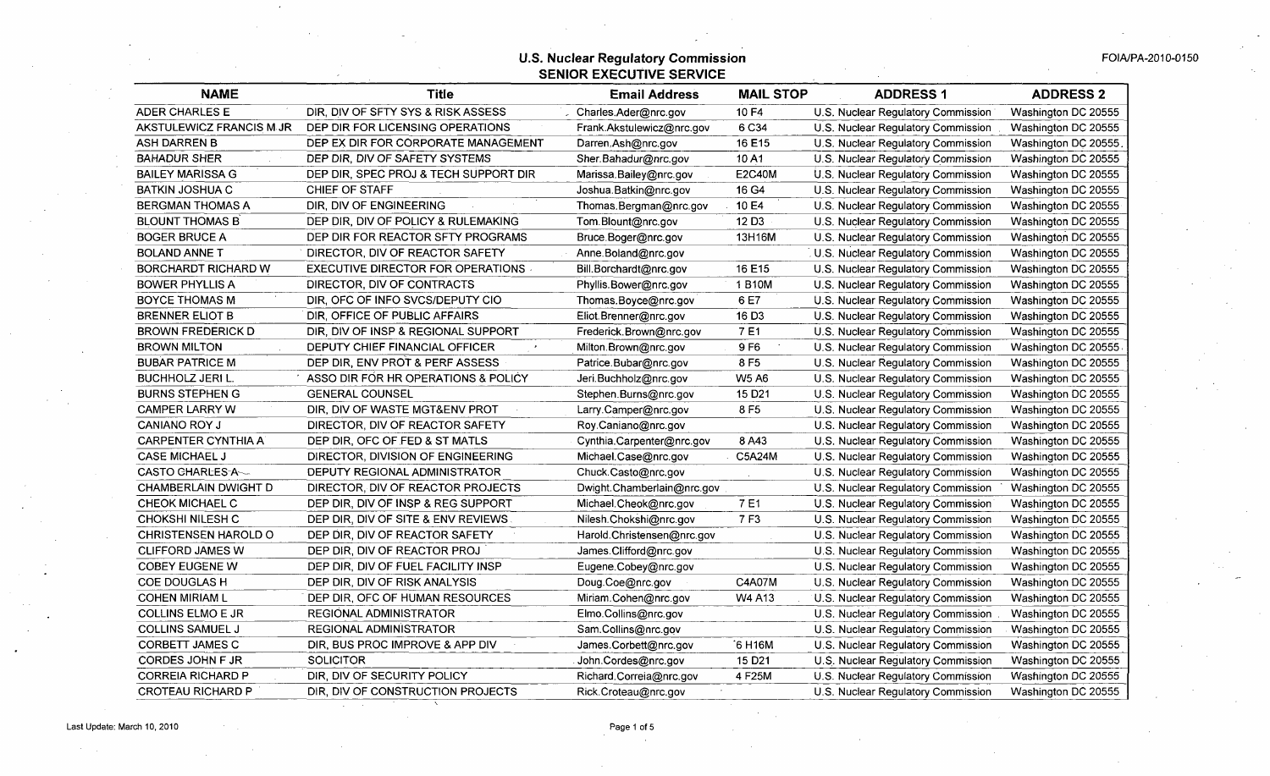| <b>NAME</b>                 | <b>Title</b>                             | <b>Email Address</b>       | <b>MAIL STOP</b>   | <b>ADDRESS 1</b>                   | <b>ADDRESS 2</b>     |
|-----------------------------|------------------------------------------|----------------------------|--------------------|------------------------------------|----------------------|
| <b>ADER CHARLES E</b>       | DIR, DIV OF SFTY SYS & RISK ASSESS       | Charles.Ader@nrc.gov       | 10 F4              | U.S. Nuclear Regulatory Commission | Washington DC 20555  |
| AKSTULEWICZ FRANCIS M.JR    | DEP DIR FOR LICENSING OPERATIONS         | Frank.Akstulewicz@nrc.gov  | 6 C34              | U.S. Nuclear Regulatory Commission | Washington DC 20555  |
| ASH DARREN B                | DEP EX DIR FOR CORPORATE MANAGEMENT      | Darren.Ash@nrc.gov         | 16 E15             | U.S. Nuclear Regulatory Commission | Washington DC 20555. |
| <b>BAHADUR SHER</b>         | DEP DIR, DIV OF SAFETY SYSTEMS           | Sher Bahadur@nrc.gov       | 10A1               | U.S. Nuclear Regulatory Commission | Washington DC 20555  |
| <b>BAILEY MARISSA G</b>     | DEP DIR, SPEC PROJ & TECH SUPPORT DIR    | Marissa.Bailey@nrc.gov     | <b>E2C40M</b>      | U.S. Nuclear Regulatory Commission | Washington DC 20555  |
| <b>BATKIN JOSHUA C</b>      | CHIEF OF STAFF                           | Joshua.Batkin@nrc.gov      | 16 G4              | U.S. Nuclear Regulatory Commission | Washington DC 20555  |
| <b>BERGMAN THOMAS A</b>     | DIR, DIV OF ENGINEERING                  | Thomas.Bergman@nrc.gov     | 10 E4              | U.S. Nuclear Regulatory Commission | Washington DC 20555  |
| <b>BLOUNT THOMAS B</b>      | DEP DIR, DIV OF POLICY & RULEMAKING      | Tom.Blount@nrc.gov         | 12 D <sub>3</sub>  | U.S. Nuclear Regulatory Commission | Washington DC 20555  |
| <b>BOGER BRUCE A</b>        | DEP DIR FOR REACTOR SFTY PROGRAMS        | Bruce Boger@nrc.gov        | 13H16M             | U.S. Nuclear Regulatory Commission | Washington DC 20555  |
| <b>BOLAND ANNE T</b>        | DIRECTOR, DIV OF REACTOR SAFETY          | Anne.Boland@nrc.gov        |                    | U.S. Nuclear Regulatory Commission | Washington DC 20555  |
| BORCHARDT RICHARD W         | <b>EXECUTIVE DIRECTOR FOR OPERATIONS</b> | Bill.Borchardt@nrc.gov     | 16 E15             | U.S. Nuclear Regulatory Commission | Washington DC 20555  |
| <b>BOWER PHYLLIS A</b>      | DIRECTOR, DIV OF CONTRACTS               | Phyllis.Bower@nrc.gov      | 1 B10M             | U.S. Nuclear Regulatory Commission | Washington DC 20555  |
| <b>BOYCE THOMAS M</b>       | DIR, OFC OF INFO SVCS/DEPUTY CIO         | Thomas.Boyce@nrc.gov       | 6 E7               | U.S. Nuclear Regulatory Commission | Washington DC 20555  |
| <b>BRENNER ELIOT B</b>      | DIR, OFFICE OF PUBLIC AFFAIRS            | Eliot.Brenner@nrc.gov      | 16 D <sub>3</sub>  | U.S. Nuclear Regulatory Commission | Washington DC 20555  |
| <b>BROWN FREDERICK D</b>    | DIR, DIV OF INSP & REGIONAL SUPPORT      | Frederick.Brown@nrc.gov    | 7E1                | U.S. Nuclear Regulatory Commission | Washington DC 20555  |
| <b>BROWN MILTON</b>         | DEPUTY CHIEF FINANCIAL OFFICER           | Milton.Brown@nrc.gov       | 9 F <sub>6</sub>   | U.S. Nuclear Regulatory Commission | Washington DC 20555  |
| <b>BUBAR PATRICE M</b>      | DEP DIR, ENV PROT & PERF ASSESS          | Patrice.Bubar@nrc.gov      | 8 F <sub>5</sub>   | U.S. Nuclear Regulatory Commission | Washington DC 20555  |
| <b>BUCHHOLZ JERI L.</b>     | ASSO DIR FOR HR OPERATIONS & POLICY      | Jeri.Buchholz@nrc.gov      | <b>W5 A6</b>       | U.S. Nuclear Regulatory Commission | Washington DC 20555  |
| <b>BURNS STEPHEN G</b>      | <b>GENERAL COUNSEL</b>                   | Stephen.Burns@nrc.gov      | 15 D <sub>21</sub> | U.S. Nuclear Regulatory Commission | Washington DC 20555  |
| <b>CAMPER LARRY W</b>       | DIR, DIV OF WASTE MGT&ENV PROT           | Larry Camper@nrc.gov       | 8F5                | U.S. Nuclear Regulatory Commission | Washington DC 20555  |
| <b>CANIANO ROY J</b>        | DIRECTOR, DIV OF REACTOR SAFETY          | Roy.Caniano@nrc.gov        |                    | U.S. Nuclear Regulatory Commission | Washington DC 20555  |
| <b>CARPENTER CYNTHIA A</b>  | DEP DIR, OFC OF FED & ST MATLS           | Cynthia.Carpenter@nrc.gov  | 8 A43              | U.S. Nuclear Regulatory Commission | Washington DC 20555  |
| <b>CASE MICHAEL J</b>       | DIRECTOR, DIVISION OF ENGINEERING        | Michael.Case@nrc.gov       | C5A24M             | U.S. Nuclear Regulatory Commission | Washington DC 20555  |
| CASTO CHARLES-A-            | DEPUTY REGIONAL ADMINISTRATOR            | Chuck.Casto@nrc.gov        |                    | U.S. Nuclear Regulatory Commission | Washington DC 20555  |
| <b>CHAMBERLAIN DWIGHT D</b> | DIRECTOR, DIV OF REACTOR PROJECTS        | Dwight.Chamberlain@nrc.gov |                    | U.S. Nuclear Regulatory Commission | Washington DC 20555  |
| <b>CHEOK MICHAEL C</b>      | DEP DIR, DIV OF INSP & REG SUPPORT       | Michael.Cheok@nrc.gov      | 7E1                | U.S. Nuclear Regulatory Commission | Washington DC 20555  |
| <b>CHOKSHI NILESH C</b>     | DEP DIR, DIV OF SITE & ENV REVIEWS       | Nilesh.Chokshi@nrc.gov     | 7F3                | U.S. Nuclear Regulatory Commission | Washington DC 20555  |
| <b>CHRISTENSEN HAROLD O</b> | DEP DIR, DIV OF REACTOR SAFETY           | Harold.Christensen@nrc.gov |                    | U.S. Nuclear Regulatory Commission | Washington DC 20555  |
| <b>CLIFFORD JAMES W</b>     | DEP DIR, DIV OF REACTOR PROJ             | James.Clifford@nrc.gov     |                    | U.S. Nuclear Regulatory Commission | Washington DC 20555  |
| <b>COBEY EUGENE W</b>       | DEP DIR, DIV OF FUEL FACILITY INSP       | Eugene.Cobey@nrc.gov       |                    | U.S. Nuclear Regulatory Commission | Washington DC 20555  |
| <b>COE DOUGLAS H</b>        | DEP DIR, DIV OF RISK ANALYSIS            | Doug.Coe@nrc.gov           | C4A07M             | U.S. Nuclear Regulatory Commission | Washington DC 20555  |
| <b>COHEN MIRIAM L</b>       | DEP DIR, OFC OF HUMAN RESOURCES          | Miriam.Cohen@nrc.gov       | W4 A13             | U.S. Nuclear Regulatory Commission | Washington DC 20555  |
| <b>COLLINS ELMO E JR</b>    | REGIONAL ADMINISTRATOR                   | Elmo.Collins@nrc.gov       |                    | U.S. Nuclear Regulatory Commission | Washington DC 20555  |
| <b>COLLINS SAMUEL J</b>     | <b>REGIONAL ADMINISTRATOR</b>            | Sam.Collins@nrc.gov        |                    | U.S. Nuclear Regulatory Commission | Washington DC 20555  |
| CORBETT JAMES C             | DIR, BUS PROC IMPROVE & APP DIV          | James.Corbett@nrc.gov      | 6 H16M             | U.S. Nuclear Regulatory Commission | Washington DC 20555  |
| CORDES JOHN F JR            | <b>SOLICITOR</b>                         | John.Cordes@nrc.gov        | 15 D <sub>21</sub> | U.S. Nuclear Regulatory Commission | Washington DC 20555  |
| <b>CORREIA RICHARD P</b>    | DIR, DIV OF SECURITY POLICY              | Richard Correia@nrc.gov    | 4 F25M             | U.S. Nuclear Regulatory Commission | Washington DC 20555  |
| <b>CROTEAU RICHARD P</b>    | DIR, DIV OF CONSTRUCTION PROJECTS        | Rick.Croteau@nrc.gov       |                    | U.S. Nuclear Regulatory Commission | Washington DC 20555  |

 $\sim$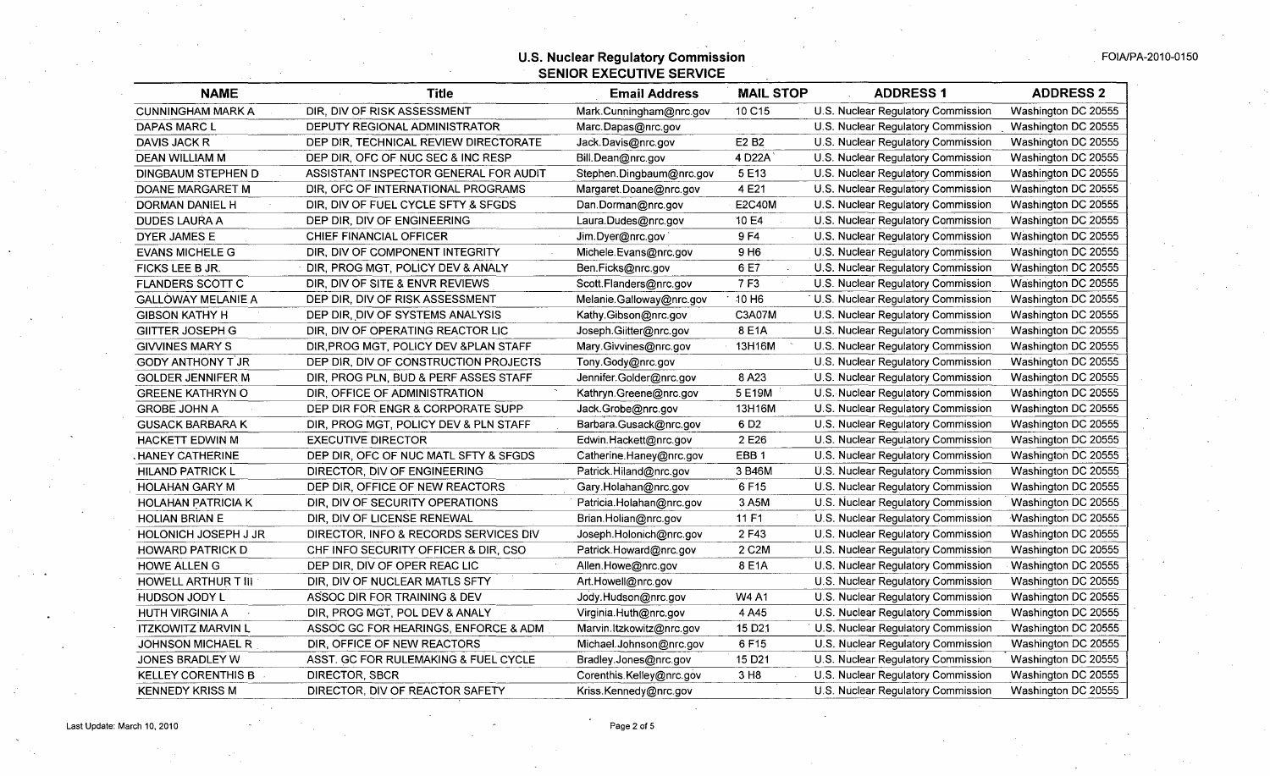| <b>NAME</b>                | <b>Title</b>                           | <b>Email Address</b>     | <b>MAIL STOP</b>              | <b>ADDRESS 1</b>                   | <b>ADDRESS 2</b>    |
|----------------------------|----------------------------------------|--------------------------|-------------------------------|------------------------------------|---------------------|
| <b>CUNNINGHAM MARK A</b>   | DIR, DIV OF RISK ASSESSMENT            | Mark.Cunningham@nrc.gov  | 10 C15                        | U.S. Nuclear Regulatory Commission | Washington DC 20555 |
| DAPAS MARC L               | DEPUTY REGIONAL ADMINISTRATOR          | Marc.Dapas@nrc.gov       |                               | U.S. Nuclear Regulatory Commission | Washington DC 20555 |
| DAVIS JACK R               | DEP DIR, TECHNICAL REVIEW DIRECTORATE  | Jack.Davis@nrc.gov       | E <sub>2</sub> B <sub>2</sub> | U.S. Nuclear Regulatory Commission | Washington DC 20555 |
| <b>DEAN WILLIAM M</b>      | DEP DIR, OFC OF NUC SEC & INC RESP     | Bill.Dean@nrc.gov        | 4 D22A                        | U.S. Nuclear Regulatory Commission | Washington DC 20555 |
| DINGBAUM STEPHEN D         | ASSISTANT INSPECTOR GENERAL FOR AUDIT  | Stephen.Dingbaum@nrc.gov | 5E13                          | U.S. Nuclear Regulatory Commission | Washington DC 20555 |
| DOANE MARGARET M           | DIR, OFC OF INTERNATIONAL PROGRAMS     | Margaret.Doane@nrc.gov   | 4 E21                         | U.S. Nuclear Regulatory Commission | Washington DC 20555 |
| DORMAN DANIEL H            | DIR, DIV OF FUEL CYCLE SFTY & SFGDS    | Dan.Dorman@nrc.gov       | <b>E2C40M</b>                 | U.S. Nuclear Regulatory Commission | Washington DC 20555 |
| <b>DUDES LAURA A</b>       | DEP DIR, DIV OF ENGINEERING            | Laura.Dudes@nrc.gov      | 10 E4                         | U.S. Nuclear Regulatory Commission | Washington DC 20555 |
| <b>DYER JAMES E</b>        | CHIEF FINANCIAL OFFICER                | Jim.Dyer@nrc.gov         | 9 F4                          | U.S. Nuclear Regulatory Commission | Washington DC 20555 |
| <b>EVANS MICHELE G</b>     | DIR, DIV OF COMPONENT INTEGRITY        | Michele.Evans@nrc.gov    | 9 H <sub>6</sub>              | U.S. Nuclear Regulatory Commission | Washington DC 20555 |
| FICKS LEE B JR.            | DIR, PROG MGT, POLICY DEV & ANALY      | Ben.Ficks@nrc.gov        | 6 E7                          | U.S. Nuclear Regulatory Commission | Washington DC 20555 |
| <b>FLANDERS SCOTT C</b>    | DIR, DIV OF SITE & ENVR REVIEWS        | Scott.Flanders@nrc.gov   | 7 F3                          | U.S. Nuclear Regulatory Commission | Washington DC 20555 |
| <b>GALLOWAY MELANIE A</b>  | DEP DIR, DIV OF RISK ASSESSMENT        | Melanie.Galloway@nrc.gov | 10 H <sub>6</sub>             | U.S. Nuclear Regulatory Commission | Washington DC 20555 |
| <b>GIBSON KATHY H</b>      | DEP DIR, DIV OF SYSTEMS ANALYSIS       | Kathy.Gibson@nrc.gov     | C3A07M                        | U.S. Nuclear Regulatory Commission | Washington DC 20555 |
| <b>GIITTER JOSEPH G</b>    | DIR, DIV OF OPERATING REACTOR LIC      | Joseph.Giitter@nrc.gov   | 8 E1A                         | U.S. Nuclear Regulatory Commission | Washington DC 20555 |
| <b>GIVVINES MARY S</b>     | DIR, PROG MGT, POLICY DEV & PLAN STAFF | Mary Givvines@nrc.gov    | 13H16M                        | U.S. Nuclear Regulatory Commission | Washington DC 20555 |
| <b>GODY ANTHONY T JR</b>   | DEP DIR, DIV OF CONSTRUCTION PROJECTS  | Tony.Gody@nrc.gov        |                               | U.S. Nuclear Regulatory Commission | Washington DC 20555 |
| <b>GOLDER JENNIFER M</b>   | DIR, PROG PLN, BUD & PERF ASSES STAFF  | Jennifer.Golder@nrc.gov  | 8 A23                         | U.S. Nuclear Regulatory Commission | Washington DC 20555 |
| <b>GREENE KATHRYN O</b>    | DIR, OFFICE OF ADMINISTRATION          | Kathryn.Greene@nrc.gov   | 5 E19M                        | U.S. Nuclear Regulatory Commission | Washington DC 20555 |
| <b>GROBE JOHN A</b>        | DEP DIR FOR ENGR & CORPORATE SUPP      | Jack.Grobe@nrc.gov       | 13H16M                        | U.S. Nuclear Regulatory Commission | Washington DC 20555 |
| <b>GUSACK BARBARA K</b>    | DIR, PROG MGT, POLICY DEV & PLN STAFF  | Barbara.Gusack@nrc.gov   | 6 D <sub>2</sub>              | U.S. Nuclear Regulatory Commission | Washington DC 20555 |
| <b>HACKETT EDWIN M</b>     | <b>EXECUTIVE DIRECTOR</b>              | Edwin.Hackett@nrc.gov    | 2 E26                         | U.S. Nuclear Regulatory Commission | Washington DC 20555 |
| <b>HANEY CATHERINE</b>     | DEP DIR, OFC OF NUC MATL SFTY & SFGDS  | Catherine.Haney@nrc.gov  | EBB <sub>1</sub>              | U.S. Nuclear Regulatory Commission | Washington DC 20555 |
| <b>HILAND PATRICK L</b>    | DIRECTOR, DIV OF ENGINEERING           | Patrick.Hiland@nrc.gov   | 3 B46M                        | U.S. Nuclear Regulatory Commission | Washington DC 20555 |
| HOLAHAN GARY M             | DEP DIR, OFFICE OF NEW REACTORS        | Gary.Holahan@nrc.gov     | 6 F15                         | U.S. Nuclear Regulatory Commission | Washington DC 20555 |
| <b>HOLAHAN PATRICIA K</b>  | DIR, DIV OF SECURITY OPERATIONS        | Patricia.Holahan@nrc.gov | 3 A5M                         | U.S. Nuclear Regulatory Commission | Washington DC 20555 |
| <b>HOLIAN BRIAN E</b>      | DIR, DIV OF LICENSE RENEWAL            | Brian Holian@nrc.gov     | 11 F1                         | U.S. Nuclear Regulatory Commission | Washington DC 20555 |
| HOLONICH JOSEPH J JR       | DIRECTOR, INFO & RECORDS SERVICES DIV  | Joseph.Holonich@nrc.gov  | 2 F43                         | U.S. Nuclear Regulatory Commission | Washington DC 20555 |
| <b>HOWARD PATRICK D</b>    | CHF INFO SECURITY OFFICER & DIR, CSO   | Patrick.Howard@nrc.gov   | 2 C <sub>2</sub> M            | U.S. Nuclear Regulatory Commission | Washington DC 20555 |
| <b>HOWE ALLENG</b>         | DEP DIR, DIV OF OPER REAC LIC          | Allen.Howe@nrc.gov       | 8 E1A                         | U.S. Nuclear Regulatory Commission | Washington DC 20555 |
| <b>HOWELL ARTHUR T III</b> | DIR, DIV OF NUCLEAR MATLS SFTY         | Art.Howell@nrc.gov       |                               | U.S. Nuclear Regulatory Commission | Washington DC 20555 |
| <b>HUDSON JODY L</b>       | ASSOC DIR FOR TRAINING & DEV           | Jody.Hudson@nrc.gov      | <b>W4 A1</b>                  | U.S. Nuclear Regulatory Commission | Washington DC 20555 |
| <b>HUTH VIRGINIA A</b>     | DIR, PROG MGT, POL DEV & ANALY         | Virginia.Huth@nrc.gov    | 4 A45                         | U.S. Nuclear Regulatory Commission | Washington DC 20555 |
| <b>ITZKOWITZ MARVIN L</b>  | ASSOC GC FOR HEARINGS, ENFORCE & ADM   | Marvin.ltzkowitz@nrc.gov | 15 D <sub>21</sub>            | U.S. Nuclear Regulatory Commission | Washington DC 20555 |
| <b>JOHNSON MICHAEL R</b>   | DIR, OFFICE OF NEW REACTORS            | Michael.Johnson@nrc.gov  | 6 F15                         | U.S. Nuclear Regulatory Commission | Washington DC 20555 |
| JONES BRADLEY W            | ASST. GC FOR RULEMAKING & FUEL CYCLE   | Bradley.Jones@nrc.gov    | 15 D <sub>21</sub>            | U.S. Nuclear Regulatory Commission | Washington DC 20555 |
| <b>KELLEY CORENTHIS B</b>  | DIRECTOR, SBCR                         | Corenthis.Kelley@nrc.gov | 3 H <sub>8</sub>              | U.S. Nuclear Regulatory Commission | Washington DC 20555 |
| <b>KENNEDY KRISS M</b>     | DIRECTOR, DIV OF REACTOR SAFETY        | Kriss.Kennedy@nrc.gov    |                               | U.S. Nuclear Regulatory Commission | Washington DC 20555 |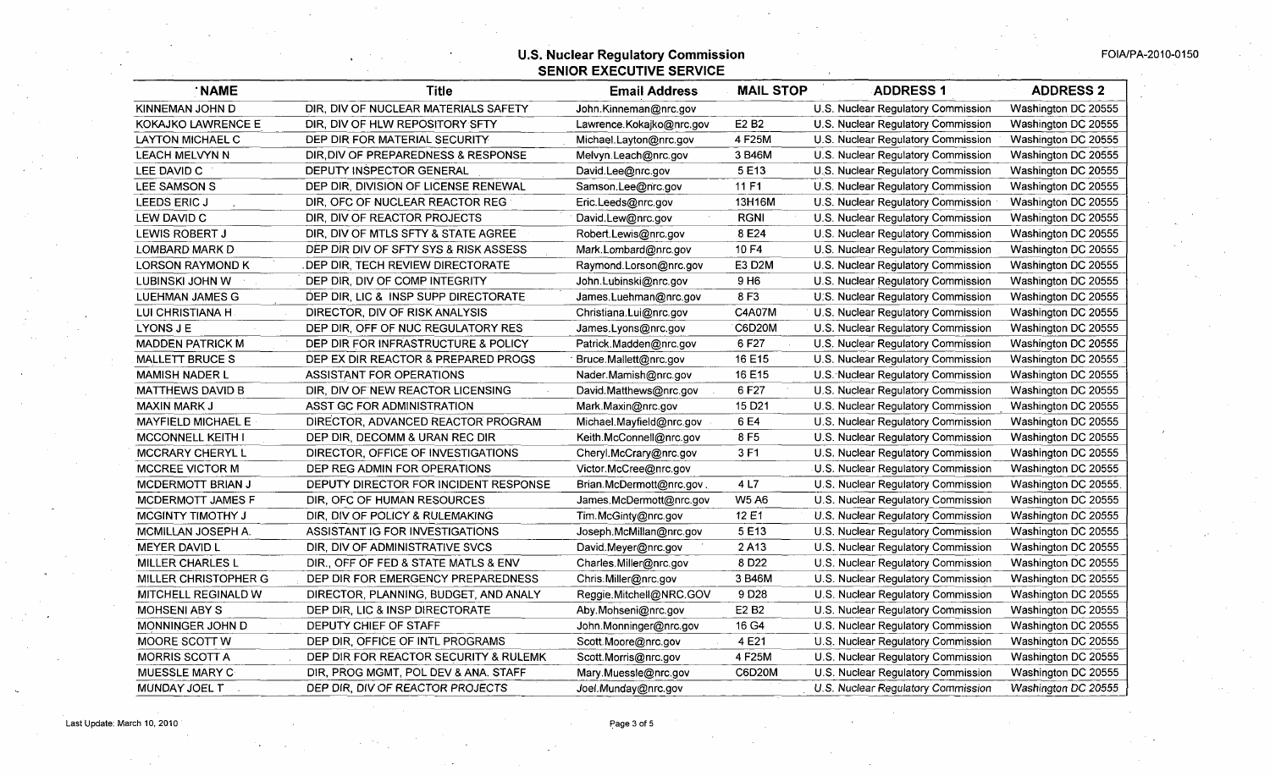| <b>NAME</b>               | <b>Title</b>                          | <b>Email Address</b>     | <b>MAIL STOP</b>   | <b>ADDRESS 1</b>                   | <b>ADDRESS 2</b>    |
|---------------------------|---------------------------------------|--------------------------|--------------------|------------------------------------|---------------------|
| KINNEMAN JOHN D           | DIR, DIV OF NUCLEAR MATERIALS SAFETY  | John.Kinneman@nrc.gov    |                    | U.S. Nuclear Regulatory Commission | Washington DC 20555 |
| <b>KOKAJKO LAWRENCE E</b> | DIR, DIV OF HLW REPOSITORY SFTY       | Lawrence.Kokajko@nrc.gov | E2 B2              | U.S. Nuclear Regulatory Commission | Washington DC 20555 |
| LAYTON MICHAEL C          | DEP DIR FOR MATERIAL SECURITY         | Michael.Layton@nrc.gov   | 4 F25M             | U.S. Nuclear Regulatory Commission | Washington DC 20555 |
| <b>LEACH MELVYN N</b>     | DIR, DIV OF PREPAREDNESS & RESPONSE   | Melvyn.Leach@nrc.gov     | 3 B46M             | U.S. Nuclear Regulatory Commission | Washington DC 20555 |
| LEE DAVID C               | DEPUTY INSPECTOR GENERAL              | David.Lee@nrc.gov        | 5 E13              | U.S. Nuclear Regulatory Commission | Washington DC 20555 |
| LEE SAMSON S              | DEP DIR, DIVISION OF LICENSE RENEWAL  | Samson.Lee@nrc.gov       | 11 F1              | U.S. Nuclear Regulatory Commission | Washington DC 20555 |
| LEEDS ERIC J              | DIR, OFC OF NUCLEAR REACTOR REG       | Eric.Leeds@nrc.gov       | 13H16M             | U.S. Nuclear Regulatory Commission | Washington DC 20555 |
| LEW DAVID C               | DIR, DIV OF REACTOR PROJECTS          | David.Lew@nrc.gov        | <b>RGNI</b>        | U.S. Nuclear Regulatory Commission | Washington DC 20555 |
| LEWIS ROBERT J            | DIR, DIV OF MTLS SFTY & STATE AGREE   | Robert.Lewis@nrc.gov     | 8E24               | U.S. Nuclear Regulatory Commission | Washington DC 20555 |
| LOMBARD MARK D            | DEP DIR DIV OF SFTY SYS & RISK ASSESS | Mark.Lombard@nrc.gov     | 10 F4              | U.S. Nuclear Regulatory Commission | Washington DC 20555 |
| <b>LORSON RAYMOND K</b>   | . DEP DIR, TECH REVIEW DIRECTORATE    | Raymond.Lorson@nrc.gov   | E3 D2M             | U.S. Nuclear Regulatory Commission | Washington DC 20555 |
| LUBINSKI JOHN W           | DEP DIR, DIV OF COMP INTEGRITY        | John.Lubinski@nrc.gov    | 9 H <sub>6</sub>   | U.S. Nuclear Regulatory Commission | Washington DC 20555 |
| <b>LUEHMAN JAMES G</b>    | DEP DIR, LIC & INSP SUPP DIRECTORATE  | James.Luehman@nrc.gov    | 8F3                | U.S. Nuclear Regulatory Commission | Washington DC 20555 |
| LUI CHRISTIANA H          | DIRECTOR, DIV OF RISK ANALYSIS        | Christiana.Lui@nrc.gov   | C4A07M             | U.S. Nuclear Regulatory Commission | Washington DC 20555 |
| LYONS J E                 | DEP DIR, OFF OF NUC REGULATORY RES    | James.Lyons@nrc.gov      | C6D20M             | U.S. Nuclear Regulatory Commission | Washington DC 20555 |
| <b>MADDEN PATRICK M</b>   | DEP DIR FOR INFRASTRUCTURE & POLICY   | Patrick.Madden@nrc.gov   | 6F27               | U.S. Nuclear Regulatory Commission | Washington DC 20555 |
| <b>MALLETT BRUCE S</b>    | DEP EX DIR REACTOR & PREPARED PROGS   | Bruce.Mallett@nrc.gov    | 16 E15             | U.S. Nuclear Regulatory Commission | Washington DC 20555 |
| <b>MAMISH NADER L</b>     | ASSISTANT FOR OPERATIONS              | Nader.Mamish@nrc.gov     | 16 E15             | U.S. Nuclear Regulatory Commission | Washington DC 20555 |
| <b>MATTHEWS DAVID B</b>   | DIR, DIV OF NEW REACTOR LICENSING     | David.Matthews@nrc.gov   | 6F27               | U.S. Nuclear Regulatory Commission | Washington DC 20555 |
| <b>MAXIN MARK J</b>       | ASST GC FOR ADMINISTRATION            | Mark Maxin@nrc.gov       | 15 D <sub>21</sub> | U.S. Nuclear Regulatory Commission | Washington DC 20555 |
| <b>MAYFIELD MICHAEL E</b> | DIRECTOR, ADVANCED REACTOR PROGRAM    | Michael.Mayfield@nrc.gov | 6 E4               | U.S. Nuclear Regulatory Commission | Washington DC 20555 |
| <b>MCCONNELL KEITH I</b>  | DEP DIR, DECOMM & URAN REC DIR        | Keith.McConnell@nrc.gov  | 8F5                | U.S. Nuclear Regulatory Commission | Washington DC 20555 |
| MCCRARY CHERYL L          | DIRECTOR, OFFICE OF INVESTIGATIONS    | Cheryl.McCrary@nrc.gov   | 3F1                | U.S. Nuclear Regulatory Commission | Washington DC 20555 |
| <b>MCCREE VICTOR M</b>    | DEP REG ADMIN FOR OPERATIONS          | Victor.McCree@nrc.gov    |                    | U.S. Nuclear Regulatory Commission | Washington DC 20555 |
| <b>MCDERMOTT BRIAN J</b>  | DEPUTY DIRECTOR FOR INCIDENT RESPONSE | Brian.McDermott@nrc.gov. | 4 L7               | U.S. Nuclear Regulatory Commission | Washington DC 20555 |
| MCDERMOTT JAMES F         | DIR, OFC OF HUMAN RESOURCES           | James.McDermott@nrc.gov  | <b>W5 A6</b>       | U.S. Nuclear Regulatory Commission | Washington DC 20555 |
| <b>MCGINTY TIMOTHY J</b>  | DIR, DIV OF POLICY & RULEMAKING       | Tim.McGinty@nrc.gov      | 12 E1              | U.S. Nuclear Regulatory Commission | Washington DC 20555 |
| MCMILLAN JOSEPH A.        | ASSISTANT IG FOR INVESTIGATIONS       | Joseph.McMillan@nrc.gov  | 5E13               | U.S. Nuclear Regulatory Commission | Washington DC 20555 |
| MEYER DAVID L             | DIR, DIV OF ADMINISTRATIVE SVCS       | David.Meyer@nrc.gov      | 2A13               | U.S. Nuclear Regulatory Commission | Washington DC 20555 |
| <b>MILLER CHARLES L</b>   | DIR., OFF OF FED & STATE MATLS & ENV  | Charles.Miller@nrc.gov   | 8 D <sub>22</sub>  | U.S. Nuclear Regulatory Commission | Washington DC 20555 |
| MILLER CHRISTOPHER G      | DEP DIR FOR EMERGENCY PREPAREDNESS    | Chris:Miller@nrc.gov     | 3 B46M             | U.S. Nuclear Regulatory Commission | Washington DC 20555 |
| MITCHELL REGINALD W       | DIRECTOR, PLANNING, BUDGET, AND ANALY | Reggie.Mitchell@NRC.GOV  | 9D28               | U.S. Nuclear Regulatory Commission | Washington DC 20555 |
| <b>MOHSENI ABY S</b>      | DEP DIR, LIC & INSP DIRECTORATE       | Aby.Mohseni@nrc.gov      | E2 B2              | U.S. Nuclear Regulatory Commission | Washington DC 20555 |
| MONNINGER JOHN D          | DEPUTY CHIEF OF STAFF                 | John.Monninger@nrc.gov   | 16 G4              | U.S. Nuclear Regulatory Commission | Washington DC 20555 |
| MOORE SCOTT W             | DEP DIR, OFFICE OF INTL PROGRAMS      | Scott.Moore@nrc.gov      | 4 E21              | U.S. Nuclear Regulatory Commission | Washington DC 20555 |
| MORRIS SCOTT A            | DEP DIR FOR REACTOR SECURITY & RULEMK | Scott.Morris@nrc.gov     | 4 F25M             | U.S. Nuclear Regulatory Commission | Washington DC 20555 |
| MUESSLE MARY C            | DIR, PROG MGMT, POL DEV & ANA. STAFF  | Mary.Muessle@nrc.gov     | C6D20M             | U.S. Nuclear Regulatory Commission | Washington DC 20555 |
| MUNDAY JOEL T.            | DEP DIR, DIV OF REACTOR PROJECTS      | Joel.Munday@nrc.gov      |                    | U.S. Nuclear Regulatory Commission | Washington DC 20555 |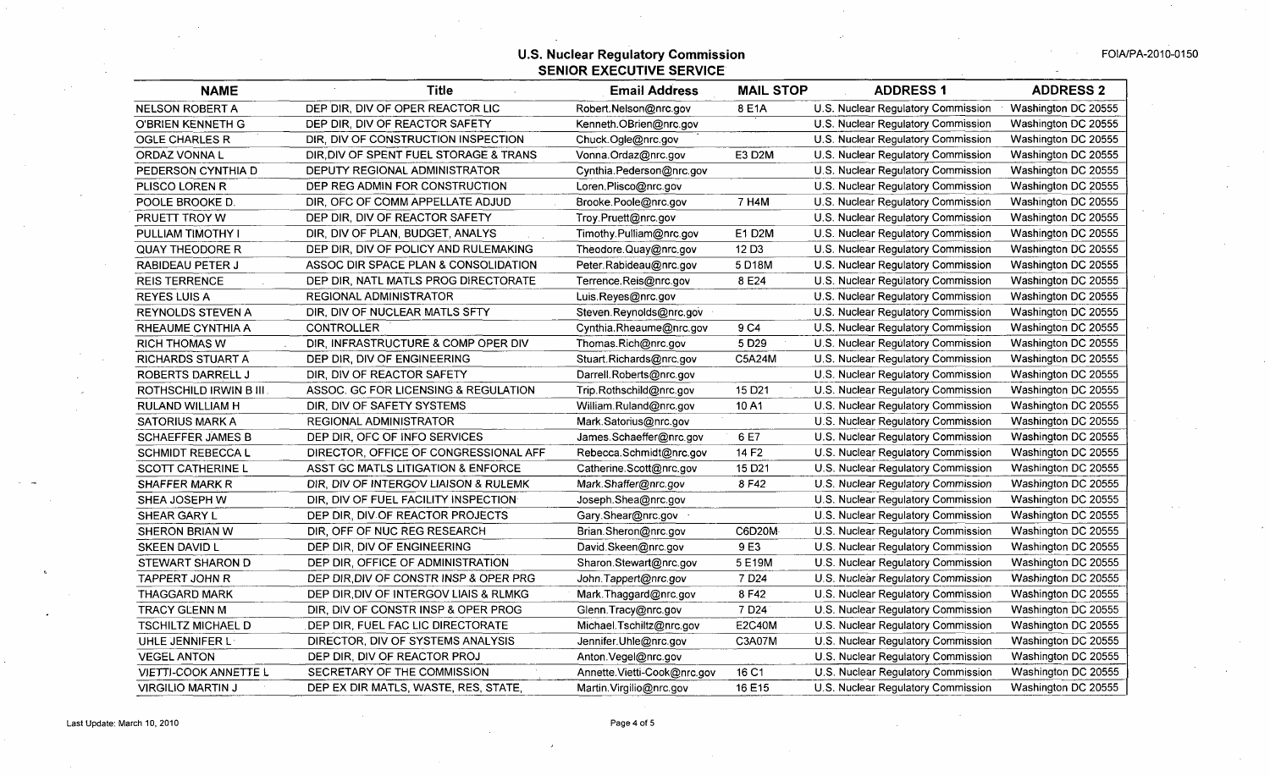## **U.S. Nuclear Regulatory Commission <b>FOIA/PA-2010-0150** FOIA/PA-2010-0150 **SENIOR EXECUTIVE** SERVICE

| <b>NAME</b>                  | Title                                  | <b>Email Address</b>        | <b>MAIL STOP</b>   | <b>ADDRESS 1</b>                   | <b>ADDRESS 2</b>    |
|------------------------------|----------------------------------------|-----------------------------|--------------------|------------------------------------|---------------------|
| <b>NELSON ROBERT A</b>       | DEP DIR, DIV OF OPER REACTOR LIC       | Robert.Nelson@nrc.gov       | 8 E1A              | U.S. Nuclear Regulatory Commission | Washington DC 20555 |
| <b>O'BRIEN KENNETH G</b>     | DEP DIR, DIV OF REACTOR SAFETY         | Kenneth.OBrien@nrc.gov      |                    | U.S. Nuclear Regulatory Commission | Washington DC 20555 |
| <b>OGLE CHARLES R</b>        | DIR, DIV OF CONSTRUCTION INSPECTION    | Chuck.Ogle@nrc.gov          |                    | U.S. Nuclear Regulatory Commission | Washington DC 20555 |
| ORDAZ VONNA L                | DIR, DIV OF SPENT FUEL STORAGE & TRANS | Vonna.Ordaz@nrc.gov         | E3 D2M             | U.S. Nuclear Regulatory Commission | Washington DC 20555 |
| PEDERSON CYNTHIA D           | DEPUTY REGIONAL ADMINISTRATOR          | Cynthia.Pederson@nrc.gov    |                    | U.S. Nuclear Regulatory Commission | Washington DC 20555 |
| PLISCO LOREN R               | DEP REG ADMIN FOR CONSTRUCTION         | Loren.Plisco@nrc.gov        |                    | U.S. Nuclear Regulatory Commission | Washington DC 20555 |
| POOLE BROOKE D.              | DIR, OFC OF COMM APPELLATE ADJUD       | Brooke.Poole@nrc.gov        | 7 H4M              | U.S. Nuclear Regulatory Commission | Washington DC 20555 |
| PRUETT TROY W                | DEP DIR, DIV OF REACTOR SAFETY         | Troy.Pruett@nrc.gov         |                    | U.S. Nuclear Regulatory Commission | Washington DC 20555 |
| PULLIAM TIMOTHY I            | DIR, DIV OF PLAN, BUDGET, ANALYS       | Timothy.Pulliam@nrc.gov     | E1 D2M             | U.S. Nuclear Regulatory Commission | Washington DC 20555 |
| <b>QUAY THEODORE R</b>       | DEP DIR, DIV OF POLICY AND RULEMAKING  | Theodore.Quay@nrc.gov       | 12 D <sub>3</sub>  | U.S. Nuclear Regulatory Commission | Washington DC 20555 |
| RABIDEAU PETER J             | ASSOC DIR SPACE PLAN & CONSOLIDATION   | Peter Rabideau@nrc.gov      | 5 D18M             | U.S. Nuclear Regulatory Commission | Washington DC 20555 |
| <b>REIS TERRENCE</b>         | DEP DIR, NATL MATLS PROG DIRECTORATE   | Terrence.Reis@nrc.gov       | 8 E24              | U.S. Nuclear Regulatory Commission | Washington DC 20555 |
| <b>REYES LUIS A</b>          | <b>REGIONAL ADMINISTRATOR</b>          | Luis.Reyes@nrc.gov          |                    | U.S. Nuclear Regulatory Commission | Washington DC 20555 |
| <b>REYNOLDS STEVEN A</b>     | DIR, DIV OF NUCLEAR MATLS SFTY         | Steven Reynolds@nrc.gov     |                    | U.S. Nuclear Regulatory Commission | Washington DC 20555 |
| RHEAUME CYNTHIA A            | <b>CONTROLLER</b>                      | Cynthia.Rheaume@nrc.gov     | 9 C4               | U.S. Nuclear Regulatory Commission | Washington DC 20555 |
| <b>RICH THOMAS W</b>         | DIR. INFRASTRUCTURE & COMP OPER DIV    | Thomas.Rich@nrc.gov         | 5 D <sub>29</sub>  | U.S. Nuclear Regulatory Commission | Washington DC 20555 |
| RICHARDS STUART A            | DEP DIR, DIV OF ENGINEERING            | Stuart.Richards@nrc.gov     | C5A24M             | U.S. Nuclear Regulatory Commission | Washington DC 20555 |
| ROBERTS DARRELL J            | DIR, DIV OF REACTOR SAFETY             | Darrell.Roberts@nrc.gov     |                    | U.S. Nuclear Regulatory Commission | Washington DC 20555 |
| ROTHSCHILD IRWIN B III.      | ASSOC. GC FOR LICENSING & REGULATION   | Trip.Rothschild@nrc.gov     | 15 D <sub>21</sub> | U.S. Nuclear Regulatory Commission | Washington DC 20555 |
| RULAND WILLIAM H             | DIR, DIV OF SAFETY SYSTEMS             | William.Ruland@nrc.gov      | 10A1               | U.S. Nuclear Regulatory Commission | Washington DC 20555 |
| <b>SATORIUS MARK A</b>       | REGIONAL ADMINISTRATOR                 | Mark.Satorius@nrc.gov       |                    | U.S. Nuclear Regulatory Commission | Washington DC 20555 |
| <b>SCHAEFFER JAMES B</b>     | DEP DIR, OFC OF INFO SERVICES          | James.Schaeffer@nrc.gov     | 6 E7               | U.S. Nuclear Regulatory Commission | Washington DC 20555 |
| <b>SCHMIDT REBECCA L</b>     | DIRECTOR, OFFICE OF CONGRESSIONAL AFF  | Rebecca.Schmidt@nrc.gov     | 14 F <sub>2</sub>  | U.S. Nuclear Regulatory Commission | Washington DC 20555 |
| SCOTT CATHERINE L            | ASST GC MATLS LITIGATION & ENFORCE     | Catherine.Scott@nrc.gov     | 15 D <sub>21</sub> | U.S. Nuclear Regulatory Commission | Washington DC 20555 |
| <b>SHAFFER MARK R</b>        | DIR. DIV OF INTERGOV LIAISON & RULEMK  | Mark.Shaffer@nrc.gov        | 8F42               | U.S. Nuclear Regulatory Commission | Washington DC 20555 |
| SHEA JOSEPH W                | DIR, DIV OF FUEL FACILITY INSPECTION   | Joseph.Shea@nrc.gov         |                    | U.S. Nuclear Regulatory Commission | Washington DC 20555 |
| SHEAR GARY L                 | DEP DIR, DIV OF REACTOR PROJECTS       | Gary.Shear@nrc.gov $\cdot$  |                    | U.S. Nuclear Regulatory Commission | Washington DC 20555 |
| SHERON BRIAN W               | DIR, OFF OF NUC REG RESEARCH           | Brian.Sheron@nrc.gov        | C6D20M             | U.S. Nuclear Regulatory Commission | Washington DC 20555 |
| SKEEN DAVID L                | DEP DIR, DIV OF ENGINEERING            | David Skeen@nrc.gov         | 9 E3               | U.S. Nuclear Regulatory Commission | Washington DC 20555 |
| STEWART SHARON D             | DEP DIR, OFFICE OF ADMINISTRATION      | Sharon.Stewart@nrc.gov      | 5 E19M             | U.S. Nuclear Regulatory Commission | Washington DC 20555 |
| TAPPERT JOHN R               | DEP DIR, DIV OF CONSTRINSP & OPER PRG  | John.Tappert@nrc.gov        | 7 D <sub>24</sub>  | U.S. Nuclear Regulatory Commission | Washington DC 20555 |
| <b>THAGGARD MARK</b>         | DEP DIR, DIV OF INTERGOV LIAIS & RLMKG | Mark. Thaggard@nrc.gov      | 8 F42              | U.S. Nuclear Regulatory Commission | Washington DC 20555 |
| <b>TRACY GLENN M</b>         | DIR, DIV OF CONSTR INSP & OPER PROG    | Glenn.Tracy@nrc.gov         | 7 D <sub>24</sub>  | U.S. Nuclear Regulatory Commission | Washington DC 20555 |
| <b>TSCHILTZ MICHAEL D</b>    | DEP DIR, FUEL FAC LIC DIRECTORATE      | Michael.Tschiltz@nrc.gov    | <b>E2C40M</b>      | U.S. Nuclear Regulatory Commission | Washington DC 20555 |
| UHLE JENNIFER L              | DIRECTOR, DIV OF SYSTEMS ANALYSIS      | Jennifer.Uhle@nrc.gov       | C3A07M             | U.S. Nuclear Regulatory Commission | Washington DC 20555 |
| <b>VEGEL ANTON</b>           | DEP DIR, DIV OF REACTOR PROJ           | Anton Vegel@nrc.gov         |                    | U.S. Nuclear Regulatory Commission | Washington DC 20555 |
| <b>VIETTI-COOK ANNETTE L</b> | SECRETARY OF THE COMMISSION            | Annette.Vietti-Cook@nrc.gov | 16 C1              | U.S. Nuclear Regulatory Commission | Washington DC 20555 |
| <b>VIRGILIO MARTIN J</b>     | DEP EX DIR MATLS, WASTE, RES, STATE    | Martin. Virgilio@nrc.gov    | 16 E15             | U.S. Nuclear Regulatory Commission | Washington DC 20555 |